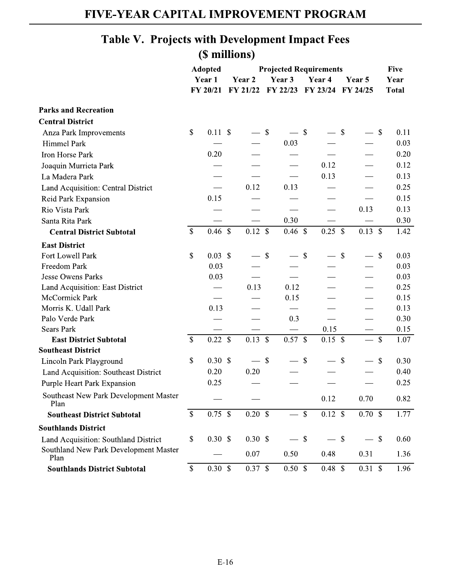## FIVE-YEAR CAPITAL IMPROVEMENT PROGRAM

## Table V. Projects with Development Impact Fees (\$ millions)

|                                               |                           | <b>Adopted</b>     |        | <b>Projected Requirements</b> |                           | <b>Five</b>              |                           |                    |                                   |                           |              |
|-----------------------------------------------|---------------------------|--------------------|--------|-------------------------------|---------------------------|--------------------------|---------------------------|--------------------|-----------------------------------|---------------------------|--------------|
|                                               | Year 1                    |                    | Year 2 |                               | Year 3                    |                          | Year 4                    |                    | Year 5                            |                           | Year         |
|                                               |                           | FY 20/21           |        | FY 21/22                      |                           | FY 22/23                 |                           |                    | FY 23/24 FY 24/25                 |                           | <b>Total</b> |
| <b>Parks and Recreation</b>                   |                           |                    |        |                               |                           |                          |                           |                    |                                   |                           |              |
| <b>Central District</b>                       |                           |                    |        |                               |                           |                          |                           |                    |                                   |                           |              |
| Anza Park Improvements                        | \$                        | 0.11S              |        |                               | $\boldsymbol{\mathsf{S}}$ |                          | $\mathcal{S}$             |                    | $\mathcal{S}$                     | $\boldsymbol{\mathsf{S}}$ | 0.11         |
| Himmel Park                                   |                           |                    |        |                               |                           | 0.03                     |                           |                    |                                   |                           | 0.03         |
| Iron Horse Park                               |                           | 0.20               |        |                               |                           |                          |                           |                    |                                   |                           | 0.20         |
| Joaquin Murrieta Park                         |                           |                    |        |                               |                           |                          |                           | 0.12               |                                   |                           | 0.12         |
| La Madera Park                                |                           |                    |        |                               |                           |                          |                           | 0.13               |                                   |                           | 0.13         |
| Land Acquisition: Central District            |                           |                    |        | 0.12                          |                           | 0.13                     |                           |                    |                                   |                           | 0.25         |
| Reid Park Expansion                           |                           | 0.15               |        |                               |                           |                          |                           |                    |                                   |                           | 0.15         |
| Rio Vista Park                                |                           |                    |        |                               |                           |                          |                           |                    | 0.13                              |                           | 0.13         |
| Santa Rita Park                               |                           |                    |        |                               |                           | 0.30                     |                           |                    |                                   |                           | 0.30         |
| <b>Central District Subtotal</b>              | $\$$                      | $0.46~\text{\AA}$  |        | $0.12 \text{ }$ \$            |                           | $0.46 \ \ \overline{\$}$ |                           | $0.25$ \$          | $0.13 \text{ }$ \$                |                           | 1.42         |
| <b>East District</b>                          |                           |                    |        |                               |                           |                          |                           |                    |                                   |                           |              |
| Fort Lowell Park                              | \$                        | $0.03 \text{ }$ \$ |        |                               | $\mathbb{S}$              |                          | $\mathbb{S}$              |                    | $\mathbb{S}$                      | $\boldsymbol{\mathsf{S}}$ | 0.03         |
| Freedom Park                                  |                           | 0.03               |        |                               |                           |                          |                           |                    |                                   |                           | 0.03         |
| <b>Jesse Owens Parks</b>                      |                           | 0.03               |        |                               |                           |                          |                           |                    |                                   |                           | 0.03         |
| Land Acquisition: East District               |                           |                    |        | 0.13                          |                           | 0.12                     |                           |                    |                                   |                           | 0.25         |
| McCormick Park                                |                           |                    |        |                               |                           | 0.15                     |                           |                    |                                   |                           | 0.15         |
| Morris K. Udall Park                          |                           | 0.13               |        |                               |                           |                          |                           |                    |                                   |                           | 0.13         |
| Palo Verde Park                               |                           |                    |        |                               |                           | 0.3                      |                           |                    |                                   |                           | 0.30         |
| <b>Sears Park</b>                             |                           |                    |        |                               |                           |                          |                           | 0.15               |                                   |                           | 0.15         |
| <b>East District Subtotal</b>                 | $\mathbb{S}$              | $0.22 \text{ }$ \$ |        | $0.13 \text{ }$ \$            |                           | $0.57$ \$                |                           | 0.15S              | $\overbrace{\phantom{aaaaa}}^{x}$ | $\mathbb{S}$              | 1.07         |
| <b>Southeast District</b>                     |                           |                    |        |                               |                           |                          |                           |                    |                                   |                           |              |
| Lincoln Park Playground                       | \$                        | $0.30 \text{ }$ \$ |        |                               | $\boldsymbol{\mathsf{S}}$ |                          | $\boldsymbol{\mathsf{S}}$ |                    | $\mathbb{S}$                      | $\boldsymbol{\mathsf{S}}$ | 0.30         |
| Land Acquisition: Southeast District          |                           | 0.20               |        | 0.20                          |                           |                          |                           |                    |                                   |                           | 0.40         |
| Purple Heart Park Expansion                   |                           | 0.25               |        |                               |                           |                          |                           |                    |                                   |                           | 0.25         |
| Southeast New Park Development Master<br>Plan |                           |                    |        |                               |                           |                          |                           | 0.12               | 0.70                              |                           | 0.82         |
| <b>Southeast District Subtotal</b>            | $\boldsymbol{\mathsf{S}}$ | 0.75S              |        | $0.20$ \$                     |                           | $\qquad \qquad -$        | $\mathbb S$               | $0.12 \text{ }$ \$ | 0.70 S                            |                           | 1.77         |
| <b>Southlands District</b>                    |                           |                    |        |                               |                           |                          |                           |                    |                                   |                           |              |
| Land Acquisition: Southland District          | $\$$                      | $0.30 \text{ }$ \$ |        | 0.30 <sup>°</sup>             |                           | $-$ \$                   |                           | $-$ \$             | - \$                              |                           | 0.60         |
| Southland New Park Development Master<br>Plan |                           |                    |        | 0.07                          |                           | 0.50                     |                           | 0.48               | 0.31                              |                           | 1.36         |
| <b>Southlands District Subtotal</b>           | $\mathbb{S}$              | 0.30 S             |        | 0.37 S                        |                           | 0.50 S                   |                           | 0.48 S             | 0.31 S                            |                           | 1.96         |